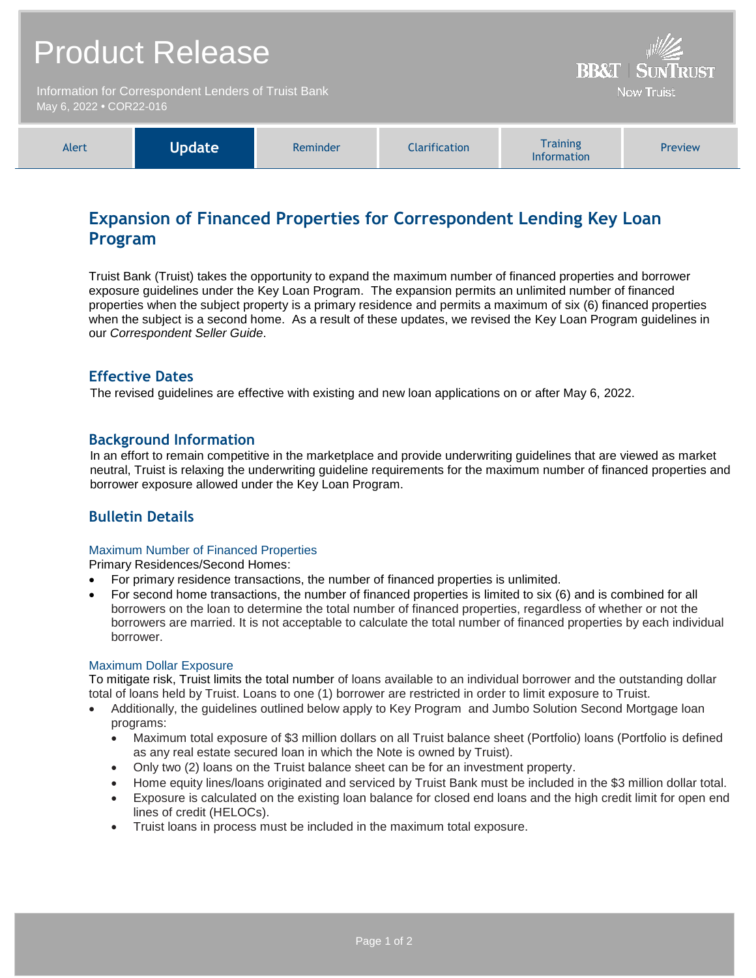|                                                                                 | <b>Product Release</b> | <b>BB&amp;T   SUNTRUST</b> |                      |                                       |         |
|---------------------------------------------------------------------------------|------------------------|----------------------------|----------------------|---------------------------------------|---------|
| Information for Correspondent Lenders of Truist Bank<br>May 6, 2022 • COR22-016 |                        |                            |                      | <b>Now Truist</b>                     |         |
| Alert                                                                           | <b>Update</b>          | Reminder                   | <b>Clarification</b> | <b>Training</b><br><b>Information</b> | Preview |

## **Expansion of Financed Properties for Correspondent Lending Key Loan Program**

Truist Bank (Truist) takes the opportunity to expand the maximum number of financed properties and borrower exposure guidelines under the Key Loan Program. The expansion permits an unlimited number of financed properties when the subject property is a primary residence and permits a maximum of six (6) financed properties when the subject is a second home. As a result of these updates, we revised the Key Loan Program guidelines in our *Correspondent Seller Guide*.

## **Effective Dates**

The revised guidelines are effective with existing and new loan applications on or after May 6, 2022.

## **Background Information**

In an effort to remain competitive in the marketplace and provide underwriting guidelines that are viewed as market neutral, Truist is relaxing the underwriting guideline requirements for the maximum number of financed properties and borrower exposure allowed under the Key Loan Program.

## **Bulletin Details**

#### Maximum Number of Financed Properties

Primary Residences/Second Homes:

- For primary residence transactions, the number of financed properties is unlimited.
- For second home transactions, the number of financed properties is limited to six (6) and is combined for all borrowers on the loan to determine the total number of financed properties, regardless of whether or not the borrowers are married. It is not acceptable to calculate the total number of financed properties by each individual borrower.

#### Maximum Dollar Exposure

To mitigate risk, Truist limits the total number of loans available to an individual borrower and the outstanding dollar total of loans held by Truist. Loans to one (1) borrower are restricted in order to limit exposure to Truist.

- Additionally, the guidelines outlined below apply to Key Program and Jumbo Solution Second Mortgage loan programs:
	- Maximum total exposure of \$3 million dollars on all Truist balance sheet (Portfolio) loans (Portfolio is defined as any real estate secured loan in which the Note is owned by Truist).
	- Only two (2) loans on the Truist balance sheet can be for an investment property.
	- Home equity lines/loans originated and serviced by Truist Bank must be included in the \$3 million dollar total.
	- Exposure is calculated on the existing loan balance for closed end loans and the high credit limit for open end lines of credit (HELOCs).
	- Truist loans in process must be included in the maximum total exposure.